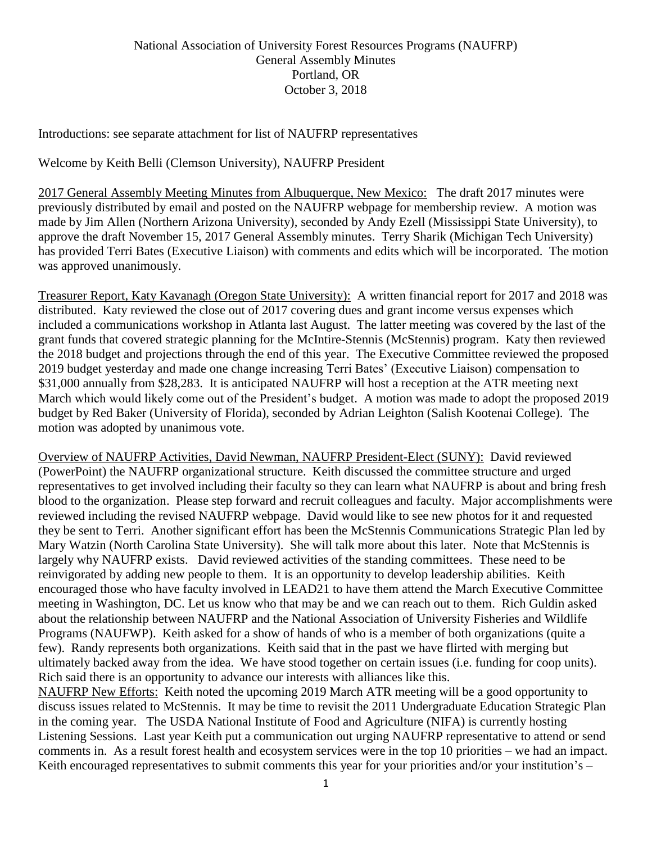Introductions: see separate attachment for list of NAUFRP representatives

Welcome by Keith Belli (Clemson University), NAUFRP President

2017 General Assembly Meeting Minutes from Albuquerque, New Mexico: The draft 2017 minutes were previously distributed by email and posted on the NAUFRP webpage for membership review. A motion was made by Jim Allen (Northern Arizona University), seconded by Andy Ezell (Mississippi State University), to approve the draft November 15, 2017 General Assembly minutes. Terry Sharik (Michigan Tech University) has provided Terri Bates (Executive Liaison) with comments and edits which will be incorporated. The motion was approved unanimously.

Treasurer Report, Katy Kavanagh (Oregon State University): A written financial report for 2017 and 2018 was distributed. Katy reviewed the close out of 2017 covering dues and grant income versus expenses which included a communications workshop in Atlanta last August. The latter meeting was covered by the last of the grant funds that covered strategic planning for the McIntire-Stennis (McStennis) program. Katy then reviewed the 2018 budget and projections through the end of this year. The Executive Committee reviewed the proposed 2019 budget yesterday and made one change increasing Terri Bates' (Executive Liaison) compensation to \$31,000 annually from \$28,283. It is anticipated NAUFRP will host a reception at the ATR meeting next March which would likely come out of the President's budget. A motion was made to adopt the proposed 2019 budget by Red Baker (University of Florida), seconded by Adrian Leighton (Salish Kootenai College). The motion was adopted by unanimous vote.

Overview of NAUFRP Activities, David Newman, NAUFRP President-Elect (SUNY): David reviewed (PowerPoint) the NAUFRP organizational structure. Keith discussed the committee structure and urged representatives to get involved including their faculty so they can learn what NAUFRP is about and bring fresh blood to the organization. Please step forward and recruit colleagues and faculty. Major accomplishments were reviewed including the revised NAUFRP webpage. David would like to see new photos for it and requested they be sent to Terri. Another significant effort has been the McStennis Communications Strategic Plan led by Mary Watzin (North Carolina State University). She will talk more about this later. Note that McStennis is largely why NAUFRP exists. David reviewed activities of the standing committees. These need to be reinvigorated by adding new people to them. It is an opportunity to develop leadership abilities. Keith encouraged those who have faculty involved in LEAD21 to have them attend the March Executive Committee meeting in Washington, DC. Let us know who that may be and we can reach out to them. Rich Guldin asked about the relationship between NAUFRP and the National Association of University Fisheries and Wildlife Programs (NAUFWP). Keith asked for a show of hands of who is a member of both organizations (quite a few). Randy represents both organizations. Keith said that in the past we have flirted with merging but ultimately backed away from the idea. We have stood together on certain issues (i.e. funding for coop units). Rich said there is an opportunity to advance our interests with alliances like this.

NAUFRP New Efforts: Keith noted the upcoming 2019 March ATR meeting will be a good opportunity to discuss issues related to McStennis. It may be time to revisit the 2011 Undergraduate Education Strategic Plan in the coming year. The USDA National Institute of Food and Agriculture (NIFA) is currently hosting Listening Sessions. Last year Keith put a communication out urging NAUFRP representative to attend or send comments in. As a result forest health and ecosystem services were in the top 10 priorities – we had an impact. Keith encouraged representatives to submit comments this year for your priorities and/or your institution's –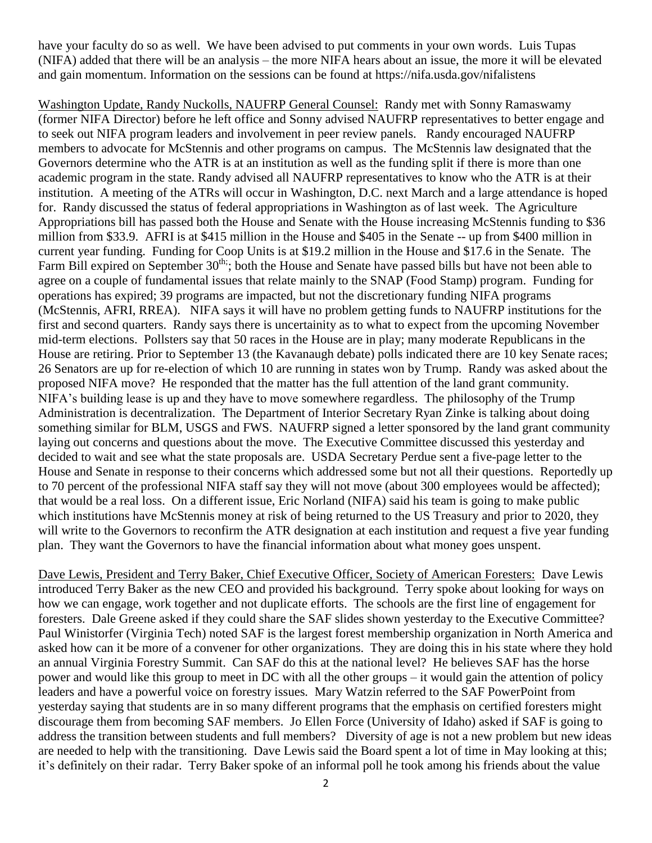have your faculty do so as well. We have been advised to put comments in your own words. Luis Tupas (NIFA) added that there will be an analysis – the more NIFA hears about an issue, the more it will be elevated and gain momentum. Information on the sessions can be found at https://nifa.usda.gov/nifalistens

Washington Update, Randy Nuckolls, NAUFRP General Counsel: Randy met with Sonny Ramaswamy (former NIFA Director) before he left office and Sonny advised NAUFRP representatives to better engage and to seek out NIFA program leaders and involvement in peer review panels. Randy encouraged NAUFRP members to advocate for McStennis and other programs on campus. The McStennis law designated that the Governors determine who the ATR is at an institution as well as the funding split if there is more than one academic program in the state. Randy advised all NAUFRP representatives to know who the ATR is at their institution. A meeting of the ATRs will occur in Washington, D.C. next March and a large attendance is hoped for. Randy discussed the status of federal appropriations in Washington as of last week. The Agriculture Appropriations bill has passed both the House and Senate with the House increasing McStennis funding to \$36 million from \$33.9. AFRI is at \$415 million in the House and \$405 in the Senate -- up from \$400 million in current year funding. Funding for Coop Units is at \$19.2 million in the House and \$17.6 in the Senate. The Farm Bill expired on September 30<sup>th;</sup>; both the House and Senate have passed bills but have not been able to agree on a couple of fundamental issues that relate mainly to the SNAP (Food Stamp) program. Funding for operations has expired; 39 programs are impacted, but not the discretionary funding NIFA programs (McStennis, AFRI, RREA). NIFA says it will have no problem getting funds to NAUFRP institutions for the first and second quarters. Randy says there is uncertainity as to what to expect from the upcoming November mid-term elections. Pollsters say that 50 races in the House are in play; many moderate Republicans in the House are retiring. Prior to September 13 (the Kavanaugh debate) polls indicated there are 10 key Senate races; 26 Senators are up for re-election of which 10 are running in states won by Trump. Randy was asked about the proposed NIFA move? He responded that the matter has the full attention of the land grant community. NIFA's building lease is up and they have to move somewhere regardless. The philosophy of the Trump Administration is decentralization. The Department of Interior Secretary Ryan Zinke is talking about doing something similar for BLM, USGS and FWS. NAUFRP signed a letter sponsored by the land grant community laying out concerns and questions about the move. The Executive Committee discussed this yesterday and decided to wait and see what the state proposals are. USDA Secretary Perdue sent a five-page letter to the House and Senate in response to their concerns which addressed some but not all their questions. Reportedly up to 70 percent of the professional NIFA staff say they will not move (about 300 employees would be affected); that would be a real loss. On a different issue, Eric Norland (NIFA) said his team is going to make public which institutions have McStennis money at risk of being returned to the US Treasury and prior to 2020, they will write to the Governors to reconfirm the ATR designation at each institution and request a five year funding plan. They want the Governors to have the financial information about what money goes unspent.

Dave Lewis, President and Terry Baker, Chief Executive Officer, Society of American Foresters: Dave Lewis introduced Terry Baker as the new CEO and provided his background. Terry spoke about looking for ways on how we can engage, work together and not duplicate efforts. The schools are the first line of engagement for foresters. Dale Greene asked if they could share the SAF slides shown yesterday to the Executive Committee? Paul Winistorfer (Virginia Tech) noted SAF is the largest forest membership organization in North America and asked how can it be more of a convener for other organizations. They are doing this in his state where they hold an annual Virginia Forestry Summit. Can SAF do this at the national level? He believes SAF has the horse power and would like this group to meet in DC with all the other groups – it would gain the attention of policy leaders and have a powerful voice on forestry issues*.* Mary Watzin referred to the SAF PowerPoint from yesterday saying that students are in so many different programs that the emphasis on certified foresters might discourage them from becoming SAF members. Jo Ellen Force (University of Idaho) asked if SAF is going to address the transition between students and full members? Diversity of age is not a new problem but new ideas are needed to help with the transitioning. Dave Lewis said the Board spent a lot of time in May looking at this; it's definitely on their radar. Terry Baker spoke of an informal poll he took among his friends about the value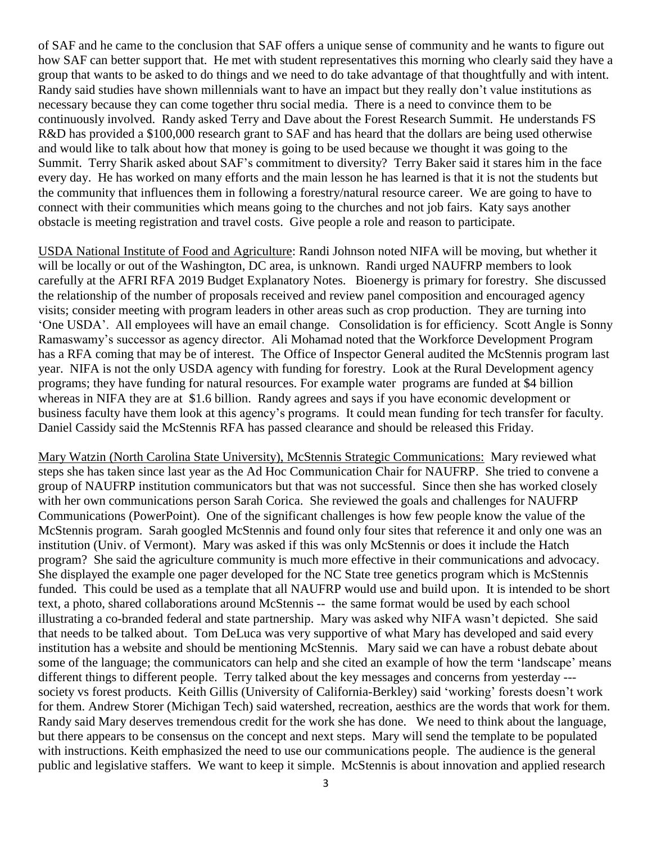of SAF and he came to the conclusion that SAF offers a unique sense of community and he wants to figure out how SAF can better support that. He met with student representatives this morning who clearly said they have a group that wants to be asked to do things and we need to do take advantage of that thoughtfully and with intent. Randy said studies have shown millennials want to have an impact but they really don't value institutions as necessary because they can come together thru social media. There is a need to convince them to be continuously involved. Randy asked Terry and Dave about the Forest Research Summit. He understands FS R&D has provided a \$100,000 research grant to SAF and has heard that the dollars are being used otherwise and would like to talk about how that money is going to be used because we thought it was going to the Summit. Terry Sharik asked about SAF's commitment to diversity? Terry Baker said it stares him in the face every day. He has worked on many efforts and the main lesson he has learned is that it is not the students but the community that influences them in following a forestry/natural resource career. We are going to have to connect with their communities which means going to the churches and not job fairs. Katy says another obstacle is meeting registration and travel costs. Give people a role and reason to participate.

USDA National Institute of Food and Agriculture: Randi Johnson noted NIFA will be moving, but whether it will be locally or out of the Washington, DC area, is unknown. Randi urged NAUFRP members to look carefully at the AFRI RFA 2019 Budget Explanatory Notes. Bioenergy is primary for forestry. She discussed the relationship of the number of proposals received and review panel composition and encouraged agency visits; consider meeting with program leaders in other areas such as crop production. They are turning into 'One USDA'. All employees will have an email change. Consolidation is for efficiency. Scott Angle is Sonny Ramaswamy's successor as agency director. Ali Mohamad noted that the Workforce Development Program has a RFA coming that may be of interest. The Office of Inspector General audited the McStennis program last year. NIFA is not the only USDA agency with funding for forestry. Look at the Rural Development agency programs; they have funding for natural resources. For example water programs are funded at \$4 billion whereas in NIFA they are at \$1.6 billion. Randy agrees and says if you have economic development or business faculty have them look at this agency's programs. It could mean funding for tech transfer for faculty. Daniel Cassidy said the McStennis RFA has passed clearance and should be released this Friday.

Mary Watzin (North Carolina State University), McStennis Strategic Communications: Mary reviewed what steps she has taken since last year as the Ad Hoc Communication Chair for NAUFRP. She tried to convene a group of NAUFRP institution communicators but that was not successful. Since then she has worked closely with her own communications person Sarah Corica. She reviewed the goals and challenges for NAUFRP Communications (PowerPoint). One of the significant challenges is how few people know the value of the McStennis program. Sarah googled McStennis and found only four sites that reference it and only one was an institution (Univ. of Vermont). Mary was asked if this was only McStennis or does it include the Hatch program? She said the agriculture community is much more effective in their communications and advocacy. She displayed the example one pager developed for the NC State tree genetics program which is McStennis funded. This could be used as a template that all NAUFRP would use and build upon. It is intended to be short text, a photo, shared collaborations around McStennis -- the same format would be used by each school illustrating a co-branded federal and state partnership. Mary was asked why NIFA wasn't depicted. She said that needs to be talked about. Tom DeLuca was very supportive of what Mary has developed and said every institution has a website and should be mentioning McStennis. Mary said we can have a robust debate about some of the language; the communicators can help and she cited an example of how the term 'landscape' means different things to different people. Terry talked about the key messages and concerns from yesterday -- society vs forest products. Keith Gillis (University of California-Berkley) said 'working' forests doesn't work for them. Andrew Storer (Michigan Tech) said watershed, recreation, aesthics are the words that work for them. Randy said Mary deserves tremendous credit for the work she has done. We need to think about the language, but there appears to be consensus on the concept and next steps. Mary will send the template to be populated with instructions. Keith emphasized the need to use our communications people. The audience is the general public and legislative staffers. We want to keep it simple. McStennis is about innovation and applied research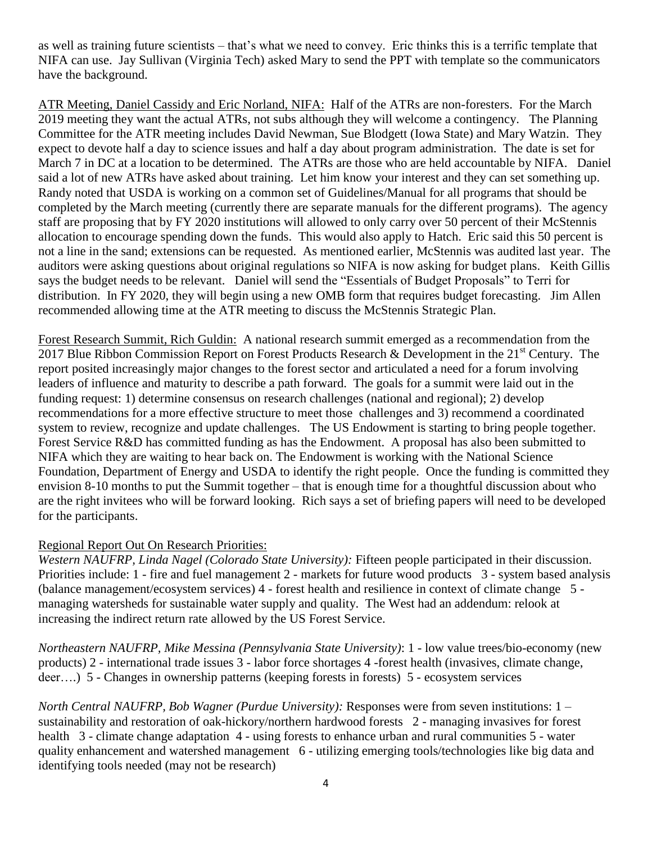as well as training future scientists – that's what we need to convey. Eric thinks this is a terrific template that NIFA can use. Jay Sullivan (Virginia Tech) asked Mary to send the PPT with template so the communicators have the background.

ATR Meeting, Daniel Cassidy and Eric Norland, NIFA: Half of the ATRs are non-foresters. For the March 2019 meeting they want the actual ATRs, not subs although they will welcome a contingency. The Planning Committee for the ATR meeting includes David Newman, Sue Blodgett (Iowa State) and Mary Watzin. They expect to devote half a day to science issues and half a day about program administration. The date is set for March 7 in DC at a location to be determined. The ATRs are those who are held accountable by NIFA. Daniel said a lot of new ATRs have asked about training. Let him know your interest and they can set something up. Randy noted that USDA is working on a common set of Guidelines/Manual for all programs that should be completed by the March meeting (currently there are separate manuals for the different programs). The agency staff are proposing that by FY 2020 institutions will allowed to only carry over 50 percent of their McStennis allocation to encourage spending down the funds. This would also apply to Hatch. Eric said this 50 percent is not a line in the sand; extensions can be requested. As mentioned earlier, McStennis was audited last year. The auditors were asking questions about original regulations so NIFA is now asking for budget plans. Keith Gillis says the budget needs to be relevant. Daniel will send the "Essentials of Budget Proposals" to Terri for distribution. In FY 2020, they will begin using a new OMB form that requires budget forecasting. Jim Allen recommended allowing time at the ATR meeting to discuss the McStennis Strategic Plan.

Forest Research Summit, Rich Guldin: A national research summit emerged as a recommendation from the 2017 Blue Ribbon Commission Report on Forest Products Research & Development in the  $21<sup>st</sup>$  Century. The report posited increasingly major changes to the forest sector and articulated a need for a forum involving leaders of influence and maturity to describe a path forward. The goals for a summit were laid out in the funding request: 1) determine consensus on research challenges (national and regional); 2) develop recommendations for a more effective structure to meet those challenges and 3) recommend a coordinated system to review, recognize and update challenges. The US Endowment is starting to bring people together. Forest Service R&D has committed funding as has the Endowment. A proposal has also been submitted to NIFA which they are waiting to hear back on. The Endowment is working with the National Science Foundation, Department of Energy and USDA to identify the right people. Once the funding is committed they envision 8-10 months to put the Summit together – that is enough time for a thoughtful discussion about who are the right invitees who will be forward looking. Rich says a set of briefing papers will need to be developed for the participants.

## Regional Report Out On Research Priorities:

*Western NAUFRP, Linda Nagel (Colorado State University):* Fifteen people participated in their discussion. Priorities include: 1 - fire and fuel management 2 - markets for future wood products 3 - system based analysis (balance management/ecosystem services) 4 - forest health and resilience in context of climate change 5 managing watersheds for sustainable water supply and quality. The West had an addendum: relook at increasing the indirect return rate allowed by the US Forest Service.

*Northeastern NAUFRP, Mike Messina (Pennsylvania State University)*: 1 - low value trees/bio-economy (new products) 2 - international trade issues 3 - labor force shortages 4 -forest health (invasives, climate change, deer….) 5 - Changes in ownership patterns (keeping forests in forests) 5 - ecosystem services

*North Central NAUFRP, Bob Wagner (Purdue University):* Responses were from seven institutions: 1 – sustainability and restoration of oak-hickory/northern hardwood forests 2 - managing invasives for forest health 3 - climate change adaptation 4 - using forests to enhance urban and rural communities 5 - water quality enhancement and watershed management 6 - utilizing emerging tools/technologies like big data and identifying tools needed (may not be research)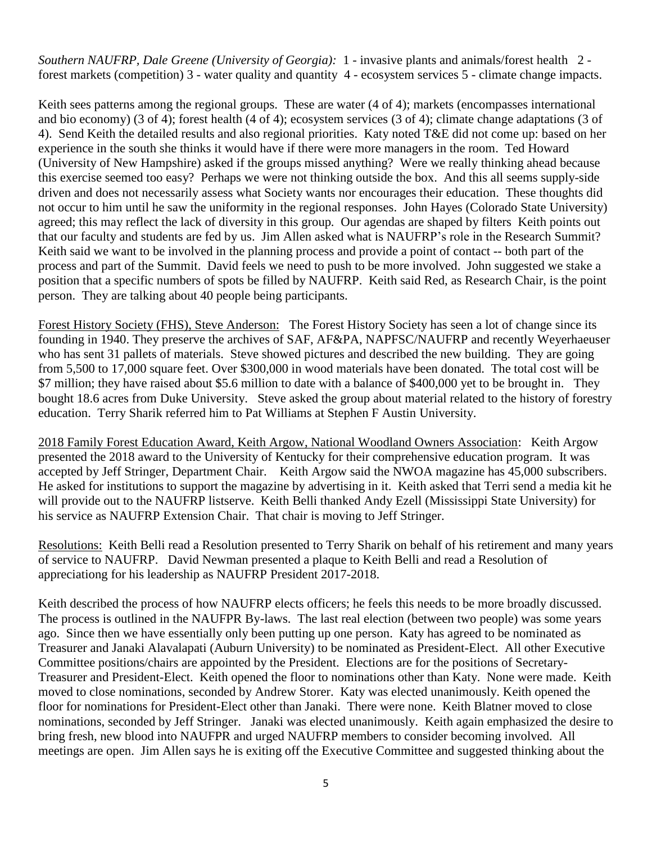*Southern NAUFRP, Dale Greene (University of Georgia):* 1 - invasive plants and animals/forest health 2 forest markets (competition) 3 - water quality and quantity 4 - ecosystem services 5 - climate change impacts.

Keith sees patterns among the regional groups. These are water (4 of 4); markets (encompasses international and bio economy) (3 of 4); forest health (4 of 4); ecosystem services (3 of 4); climate change adaptations (3 of 4). Send Keith the detailed results and also regional priorities. Katy noted T&E did not come up: based on her experience in the south she thinks it would have if there were more managers in the room. Ted Howard (University of New Hampshire) asked if the groups missed anything? Were we really thinking ahead because this exercise seemed too easy? Perhaps we were not thinking outside the box. And this all seems supply-side driven and does not necessarily assess what Society wants nor encourages their education. These thoughts did not occur to him until he saw the uniformity in the regional responses. John Hayes (Colorado State University) agreed; this may reflect the lack of diversity in this group*.* Our agendas are shaped by filters Keith points out that our faculty and students are fed by us. Jim Allen asked what is NAUFRP's role in the Research Summit? Keith said we want to be involved in the planning process and provide a point of contact -- both part of the process and part of the Summit. David feels we need to push to be more involved. John suggested we stake a position that a specific numbers of spots be filled by NAUFRP. Keith said Red, as Research Chair, is the point person. They are talking about 40 people being participants.

Forest History Society (FHS), Steve Anderson: The Forest History Society has seen a lot of change since its founding in 1940. They preserve the archives of SAF, AF&PA, NAPFSC/NAUFRP and recently Weyerhaeuser who has sent 31 pallets of materials. Steve showed pictures and described the new building. They are going from 5,500 to 17,000 square feet. Over \$300,000 in wood materials have been donated. The total cost will be \$7 million; they have raised about \$5.6 million to date with a balance of \$400,000 yet to be brought in. They bought 18.6 acres from Duke University. Steve asked the group about material related to the history of forestry education. Terry Sharik referred him to Pat Williams at Stephen F Austin University.

2018 Family Forest Education Award, Keith Argow, National Woodland Owners Association: Keith Argow presented the 2018 award to the University of Kentucky for their comprehensive education program. It was accepted by Jeff Stringer, Department Chair. Keith Argow said the NWOA magazine has 45,000 subscribers. He asked for institutions to support the magazine by advertising in it. Keith asked that Terri send a media kit he will provide out to the NAUFRP listserve. Keith Belli thanked Andy Ezell (Mississippi State University) for his service as NAUFRP Extension Chair. That chair is moving to Jeff Stringer.

Resolutions: Keith Belli read a Resolution presented to Terry Sharik on behalf of his retirement and many years of service to NAUFRP. David Newman presented a plaque to Keith Belli and read a Resolution of appreciationg for his leadership as NAUFRP President 2017-2018.

Keith described the process of how NAUFRP elects officers; he feels this needs to be more broadly discussed. The process is outlined in the NAUFPR By-laws. The last real election (between two people) was some years ago. Since then we have essentially only been putting up one person. Katy has agreed to be nominated as Treasurer and Janaki Alavalapati (Auburn University) to be nominated as President-Elect. All other Executive Committee positions/chairs are appointed by the President. Elections are for the positions of Secretary-Treasurer and President-Elect. Keith opened the floor to nominations other than Katy. None were made. Keith moved to close nominations, seconded by Andrew Storer. Katy was elected unanimously. Keith opened the floor for nominations for President-Elect other than Janaki. There were none. Keith Blatner moved to close nominations, seconded by Jeff Stringer. Janaki was elected unanimously. Keith again emphasized the desire to bring fresh, new blood into NAUFPR and urged NAUFRP members to consider becoming involved. All meetings are open. Jim Allen says he is exiting off the Executive Committee and suggested thinking about the